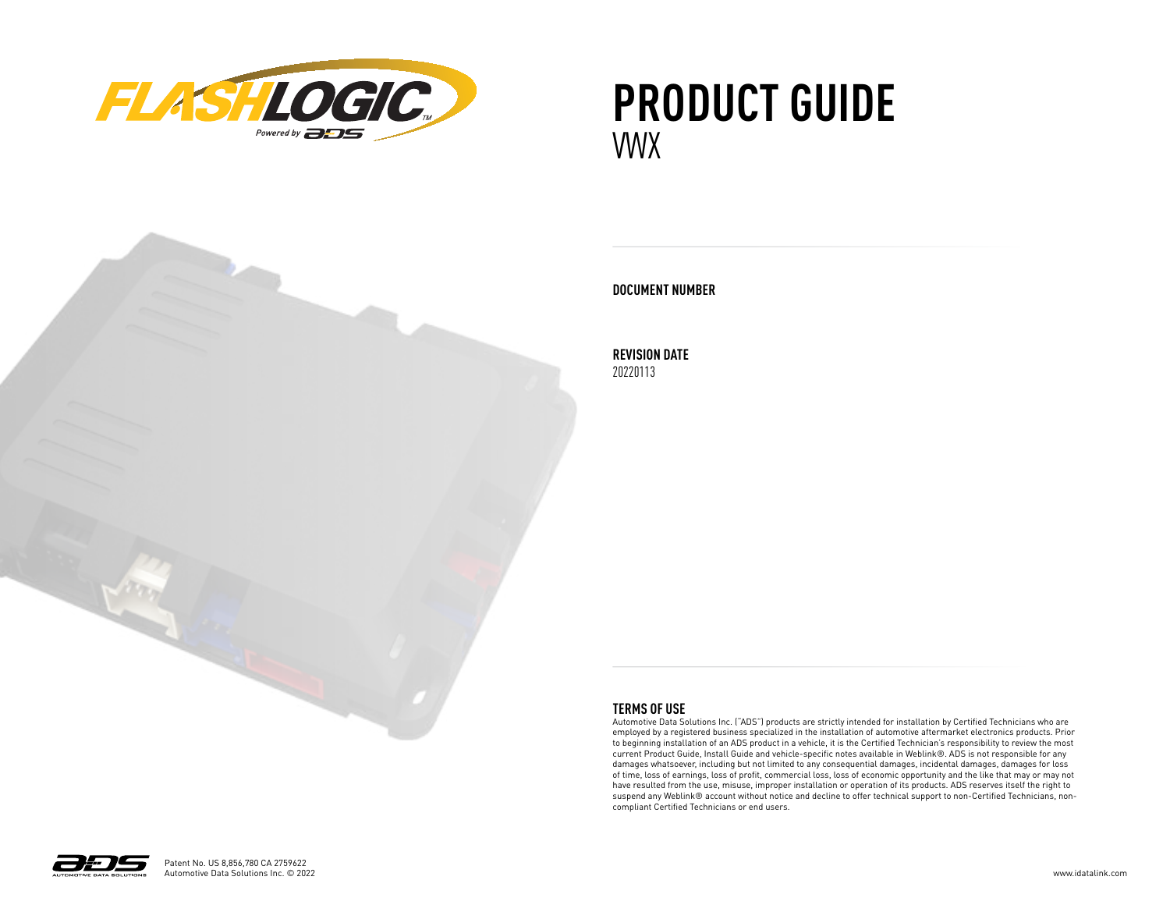

## **PRODUCT GUIDE** VWX



#### **DOCUMENT NUMBER**

**REVISION DATE** 20220113

#### **TERMS OF USE**

Automotive Data Solutions Inc. ("ADS") products are strictly intended for installation by Certified Technicians who are employed by a registered business specialized in the installation of automotive aftermarket electronics products. Prior to beginning installation of an ADS product in a vehicle, it is the Certified Technician's responsibility to review the most current Product Guide, Install Guide and vehicle-specific notes available in Weblink®. ADS is not responsible for any damages whatsoever, including but not limited to any consequential damages, incidental damages, damages for loss of time, loss of earnings, loss of profit, commercial loss, loss of economic opportunity and the like that may or may not have resulted from the use, misuse, improper installation or operation of its products. ADS reserves itself the right to suspend any Weblink® account without notice and decline to offer technical support to non-Certified Technicians, noncompliant Certified Technicians or end users.

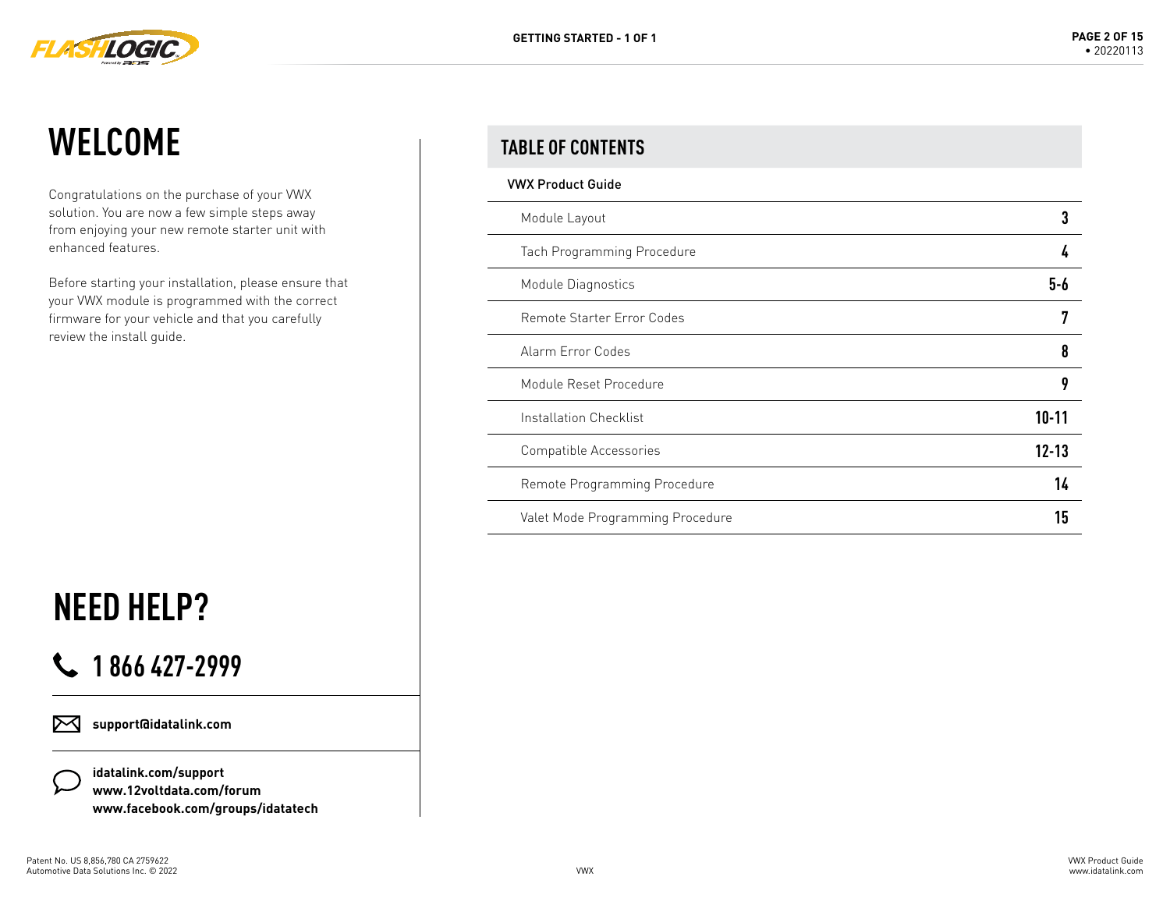

### **WELCOME**

Congratulations on the purchase of your VWX solution. You are now a few simple steps away from enjoying your new remote starter unit with enhanced features.

Before starting your installation, please ensure that your VWX module is programmed with the correct firmware for your vehicle and that you carefully review the install guide.

# **NEED HELP?**

### **1 866 427-2999**

**support@idatalink.com** ⊠

> **idatalink.com/support www.12voltdata.com/forum www.facebook.com/groups/idatatech**

#### **TABLE OF CONTENTS**

| <b>VWX Product Guide</b>         |           |
|----------------------------------|-----------|
| Module Layout                    |           |
| Tach Programming Procedure       |           |
| Module Diagnostics               | 5-6       |
| Remote Starter Error Codes       |           |
| Alarm Error Codes                | 8         |
| Module Reset Procedure           |           |
| Installation Checklist           | $10 - 11$ |
| Compatible Accessories           | $12 - 13$ |
| Remote Programming Procedure     | 14        |
| Valet Mode Programming Procedure | 15        |
|                                  |           |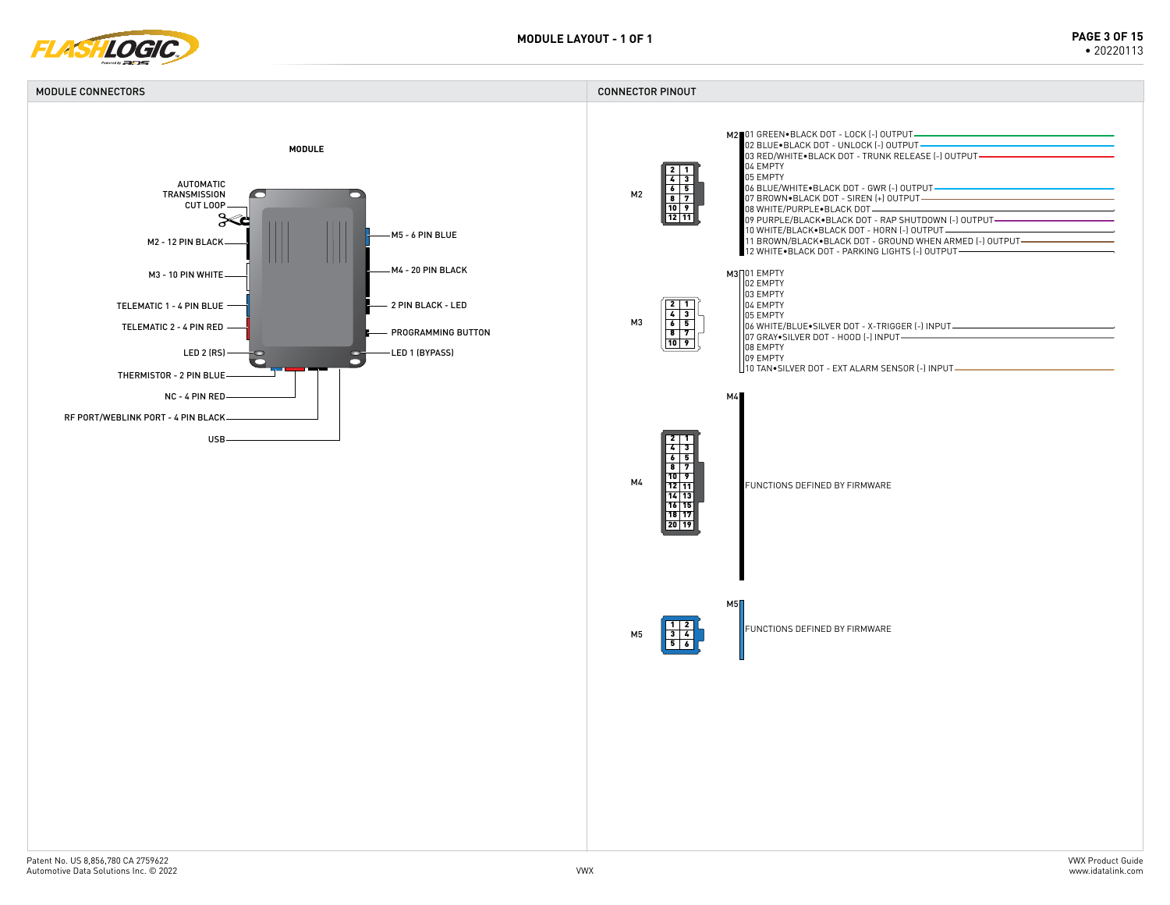

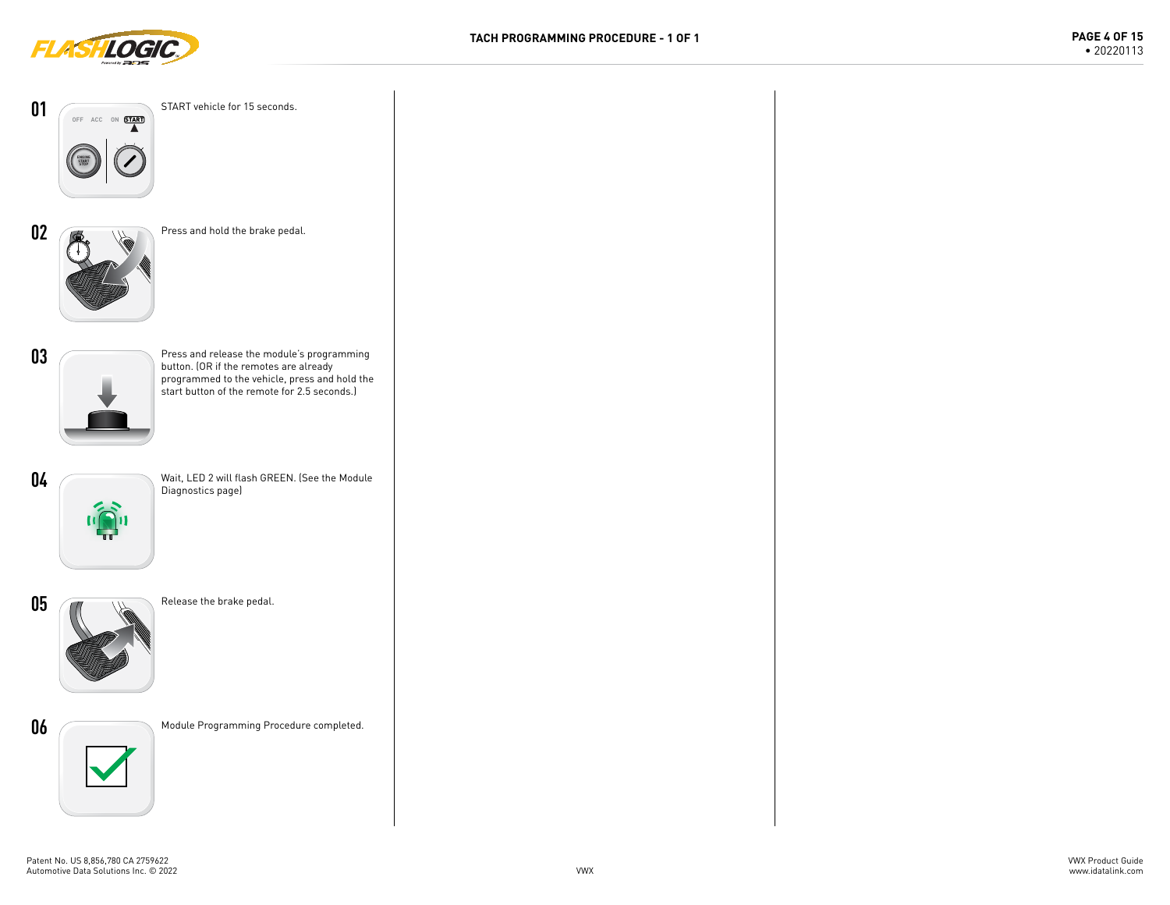



**01**

**02**

**03**

**04**

**05**

**06**

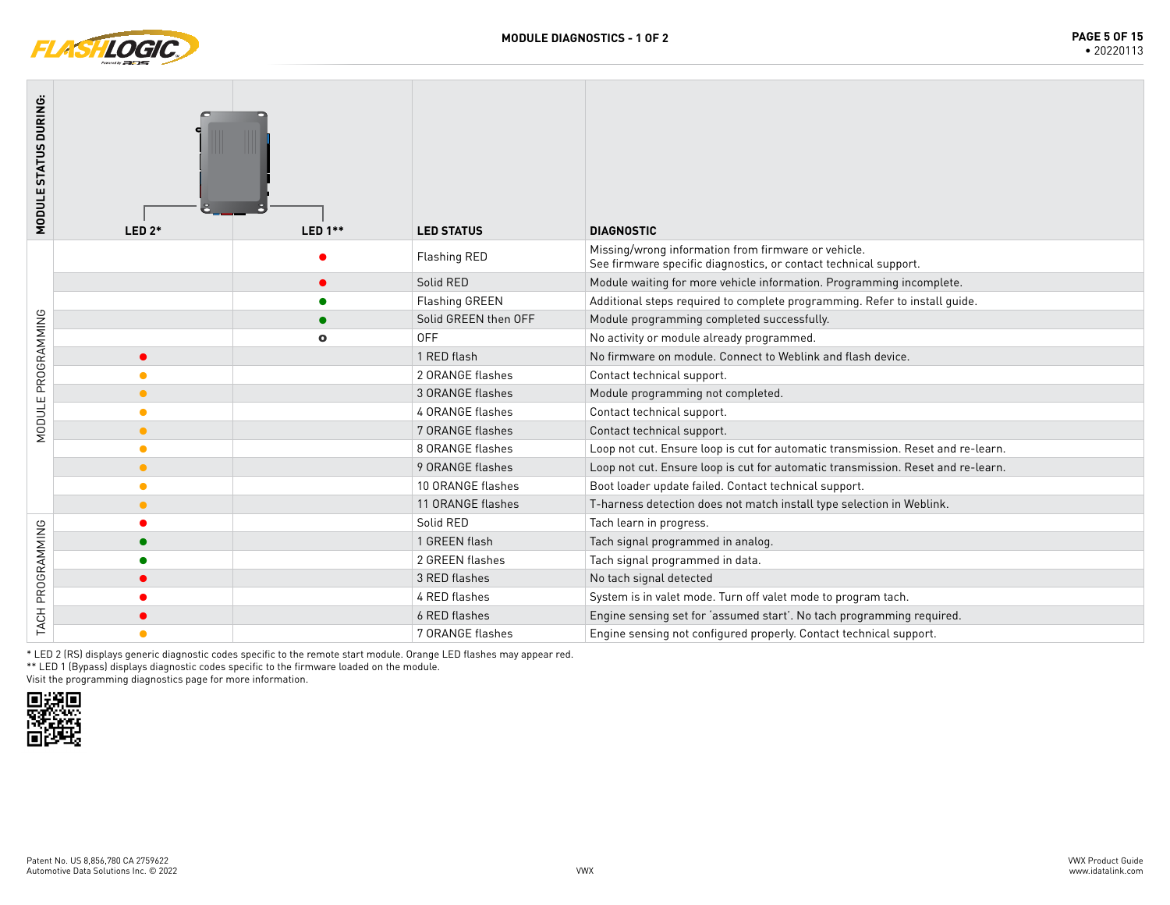

| MODULE STATUS DURING: | $LED 2*$  | <b>LED 1**</b> | <b>LED STATUS</b>     | <b>DIAGNOSTIC</b>                                                                                                       |
|-----------------------|-----------|----------------|-----------------------|-------------------------------------------------------------------------------------------------------------------------|
|                       |           |                | Flashing RED          | Missing/wrong information from firmware or vehicle.<br>See firmware specific diagnostics, or contact technical support. |
|                       |           |                | Solid RED             | Module waiting for more vehicle information. Programming incomplete.                                                    |
|                       |           |                | <b>Flashing GREEN</b> | Additional steps required to complete programming. Refer to install guide.                                              |
| MODULE PROGRAMMING    |           |                | Solid GREEN then OFF  | Module programming completed successfully.                                                                              |
|                       |           | $\bullet$      | <b>OFF</b>            | No activity or module already programmed.                                                                               |
|                       | $\bullet$ |                | 1 RED flash           | No firmware on module. Connect to Weblink and flash device.                                                             |
|                       |           |                | 2 ORANGE flashes      | Contact technical support.                                                                                              |
|                       | $\bullet$ |                | 3 ORANGE flashes      | Module programming not completed.                                                                                       |
|                       | ●         |                | 4 ORANGE flashes      | Contact technical support.                                                                                              |
|                       | $\bullet$ |                | 7 ORANGE flashes      | Contact technical support.                                                                                              |
|                       | $\bullet$ |                | 8 ORANGE flashes      | Loop not cut. Ensure loop is cut for automatic transmission. Reset and re-learn.                                        |
|                       | $\bullet$ |                | 9 ORANGE flashes      | Loop not cut. Ensure loop is cut for automatic transmission. Reset and re-learn.                                        |
|                       | ٠         |                | 10 ORANGE flashes     | Boot loader update failed. Contact technical support.                                                                   |
|                       | $\bullet$ |                | 11 ORANGE flashes     | T-harness detection does not match install type selection in Weblink.                                                   |
|                       |           |                | Solid RED             | Tach learn in progress.                                                                                                 |
|                       |           |                | 1 GREEN flash         | Tach signal programmed in analog.                                                                                       |
|                       |           |                | 2 GREEN flashes       | Tach signal programmed in data.                                                                                         |
|                       |           |                | 3 RED flashes         | No tach signal detected                                                                                                 |
| TACH PROGRAMMING      |           |                | 4 RED flashes         | System is in valet mode. Turn off valet mode to program tach.                                                           |
|                       |           |                | 6 RED flashes         | Engine sensing set for 'assumed start'. No tach programming required.                                                   |
|                       | $\bullet$ |                | 7 ORANGE flashes      | Engine sensing not configured properly. Contact technical support.                                                      |

\* LED 2 (RS) displays generic diagnostic codes specific to the remote start module. Orange LED flashes may appear red.

\*\* LED 1 (Bypass) displays diagnostic codes specific to the firmware loaded on the module.

Visit the programming diagnostics page for more information.

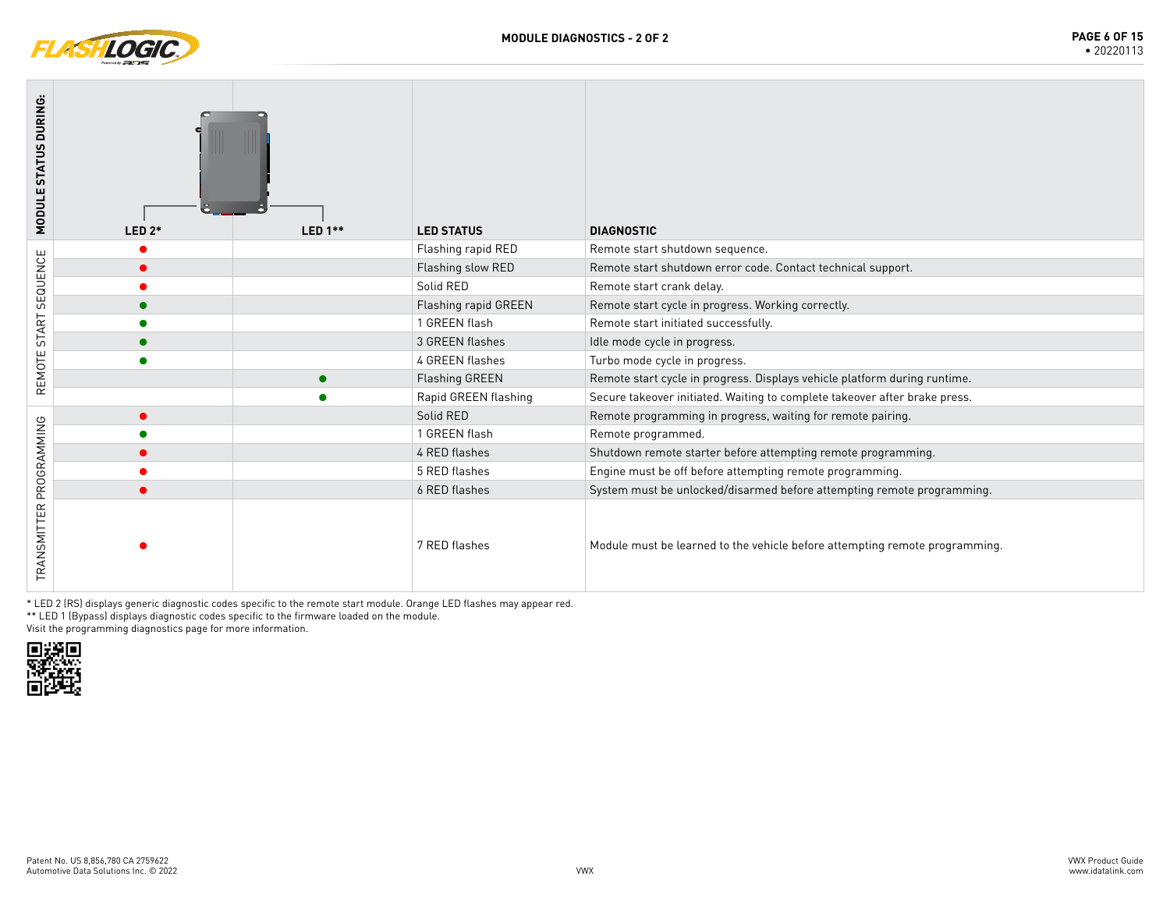

| MODULE STATUS DURING:   | $LED 2*$ | LED $1**$ | <b>LED STATUS</b>    | <b>DIAGNOSTIC</b>                                                           |
|-------------------------|----------|-----------|----------------------|-----------------------------------------------------------------------------|
|                         |          |           | Flashing rapid RED   | Remote start shutdown sequence.                                             |
|                         |          |           | Flashing slow RED    | Remote start shutdown error code. Contact technical support.                |
| SEQUENCE                |          |           | Solid RED            | Remote start crank delay.                                                   |
|                         |          |           | Flashing rapid GREEN | Remote start cycle in progress. Working correctly.                          |
| START                   |          |           | 1 GREEN flash        | Remote start initiated successfully.                                        |
|                         |          |           | 3 GREEN flashes      | Idle mode cycle in progress.                                                |
| REMOTE                  |          |           | 4 GREEN flashes      | Turbo mode cycle in progress.                                               |
|                         |          |           | Flashing GREEN       | Remote start cycle in progress. Displays vehicle platform during runtime.   |
|                         |          |           | Rapid GREEN flashing | Secure takeover initiated. Waiting to complete takeover after brake press.  |
|                         |          |           | Solid RED            | Remote programming in progress, waiting for remote pairing.                 |
|                         |          |           | 1 GREEN flash        | Remote programmed.                                                          |
|                         |          |           | 4 RED flashes        | Shutdown remote starter before attempting remote programming.               |
|                         |          |           | 5 RED flashes        | Engine must be off before attempting remote programming.                    |
|                         |          |           | 6 RED flashes        | System must be unlocked/disarmed before attempting remote programming.      |
| TRANSMITTER PROGRAMMING |          |           | 7 RED flashes        | Module must be learned to the vehicle before attempting remote programming. |

\* LED 2 (RS) displays generic diagnostic codes specific to the remote start module. Orange LED flashes may appear red.

\*\* LED 1 (Bypass) displays diagnostic codes specific to the firmware loaded on the module.

Visit the programming diagnostics page for more information.

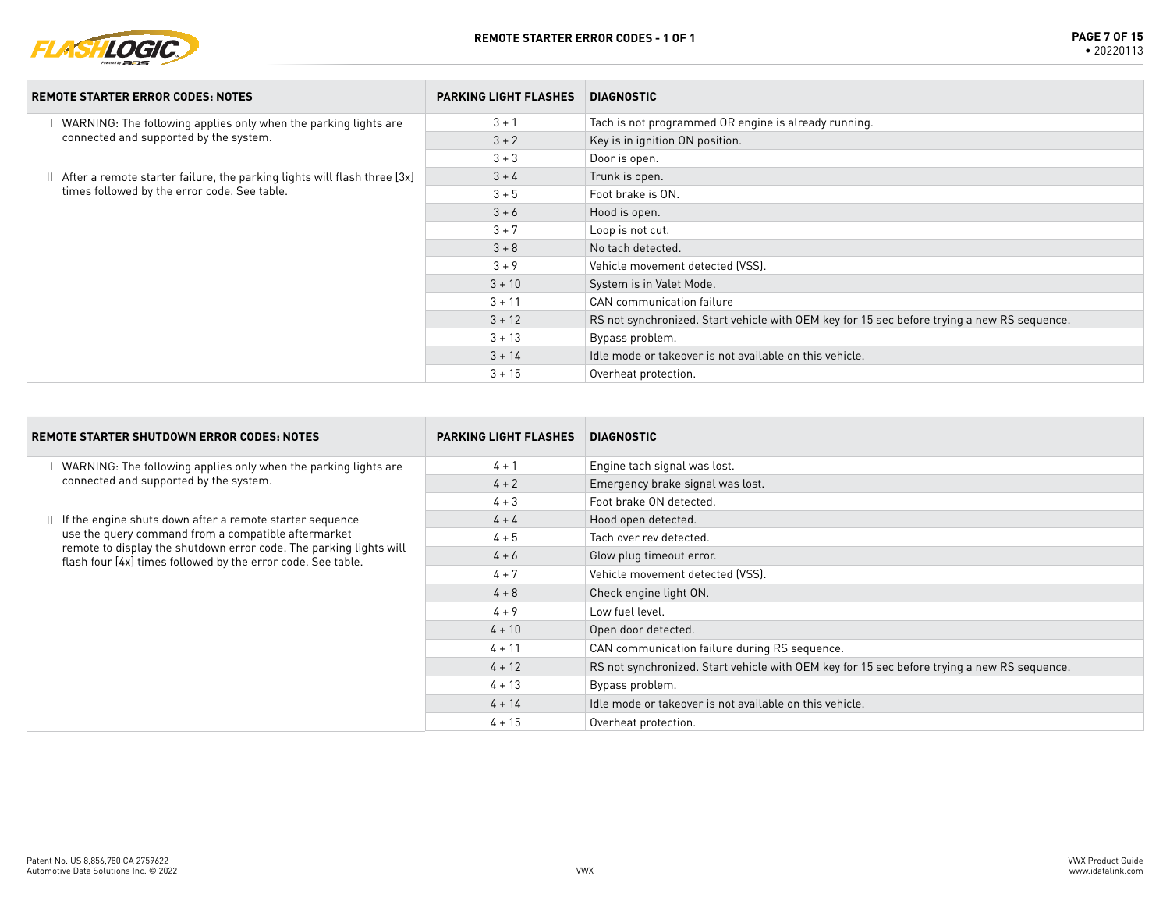

| <b>REMOTE STARTER ERROR CODES: NOTES</b>                                    | <b>PARKING LIGHT FLASHES</b> | <b>DIAGNOSTIC</b>                                                                           |
|-----------------------------------------------------------------------------|------------------------------|---------------------------------------------------------------------------------------------|
| WARNING: The following applies only when the parking lights are             | $3 + 1$                      | Tach is not programmed OR engine is already running.                                        |
| connected and supported by the system.                                      | $3 + 2$                      | Key is in ignition ON position.                                                             |
|                                                                             | $3 + 3$                      | Door is open.                                                                               |
| II After a remote starter failure, the parking lights will flash three [3x] | $3 + 4$                      | Trunk is open.                                                                              |
| times followed by the error code. See table.                                | $3 + 5$                      | Foot brake is ON.                                                                           |
|                                                                             | $3 + 6$                      | Hood is open.                                                                               |
|                                                                             | $3 + 7$                      | Loop is not cut.                                                                            |
|                                                                             | $3 + 8$                      | No tach detected.                                                                           |
|                                                                             | $3 + 9$                      | Vehicle movement detected (VSS).                                                            |
|                                                                             | $3 + 10$                     | System is in Valet Mode.                                                                    |
|                                                                             | $3 + 11$                     | CAN communication failure                                                                   |
|                                                                             | $3 + 12$                     | RS not synchronized. Start vehicle with OEM key for 15 sec before trying a new RS sequence. |
|                                                                             | $3 + 13$                     | Bypass problem.                                                                             |
|                                                                             | $3 + 14$                     | Idle mode or takeover is not available on this vehicle.                                     |
|                                                                             | $3 + 15$                     | Overheat protection.                                                                        |

| <b>REMOTE STARTER SHUTDOWN ERROR CODES: NOTES</b>                                                                                  | <b>PARKING LIGHT FLASHES</b> | <b>DIAGNOSTIC</b>                                                                           |
|------------------------------------------------------------------------------------------------------------------------------------|------------------------------|---------------------------------------------------------------------------------------------|
| WARNING: The following applies only when the parking lights are                                                                    | $4 + 1$                      | Engine tach signal was lost.                                                                |
| connected and supported by the system.                                                                                             | $4 + 2$                      | Emergency brake signal was lost.                                                            |
|                                                                                                                                    | $4 + 3$                      | Foot brake ON detected.                                                                     |
| II If the engine shuts down after a remote starter sequence                                                                        | $4 + 4$                      | Hood open detected.                                                                         |
| use the query command from a compatible aftermarket                                                                                | $4 + 5$                      | Tach over rev detected.                                                                     |
| remote to display the shutdown error code. The parking lights will<br>flash four [4x] times followed by the error code. See table. | $4 + 6$                      | Glow plug timeout error.                                                                    |
|                                                                                                                                    | $4 + 7$                      | Vehicle movement detected (VSS).                                                            |
|                                                                                                                                    | $4 + 8$                      | Check engine light ON.                                                                      |
|                                                                                                                                    | $4 + 9$                      | Low fuel level.                                                                             |
|                                                                                                                                    | $4 + 10$                     | Open door detected.                                                                         |
|                                                                                                                                    | $4 + 11$                     | CAN communication failure during RS sequence.                                               |
|                                                                                                                                    | $4 + 12$                     | RS not synchronized. Start vehicle with OEM key for 15 sec before trying a new RS sequence. |
|                                                                                                                                    | $4 + 13$                     | Bypass problem.                                                                             |
|                                                                                                                                    | $4 + 14$                     | Idle mode or takeover is not available on this vehicle.                                     |
|                                                                                                                                    | $4 + 15$                     | Overheat protection.                                                                        |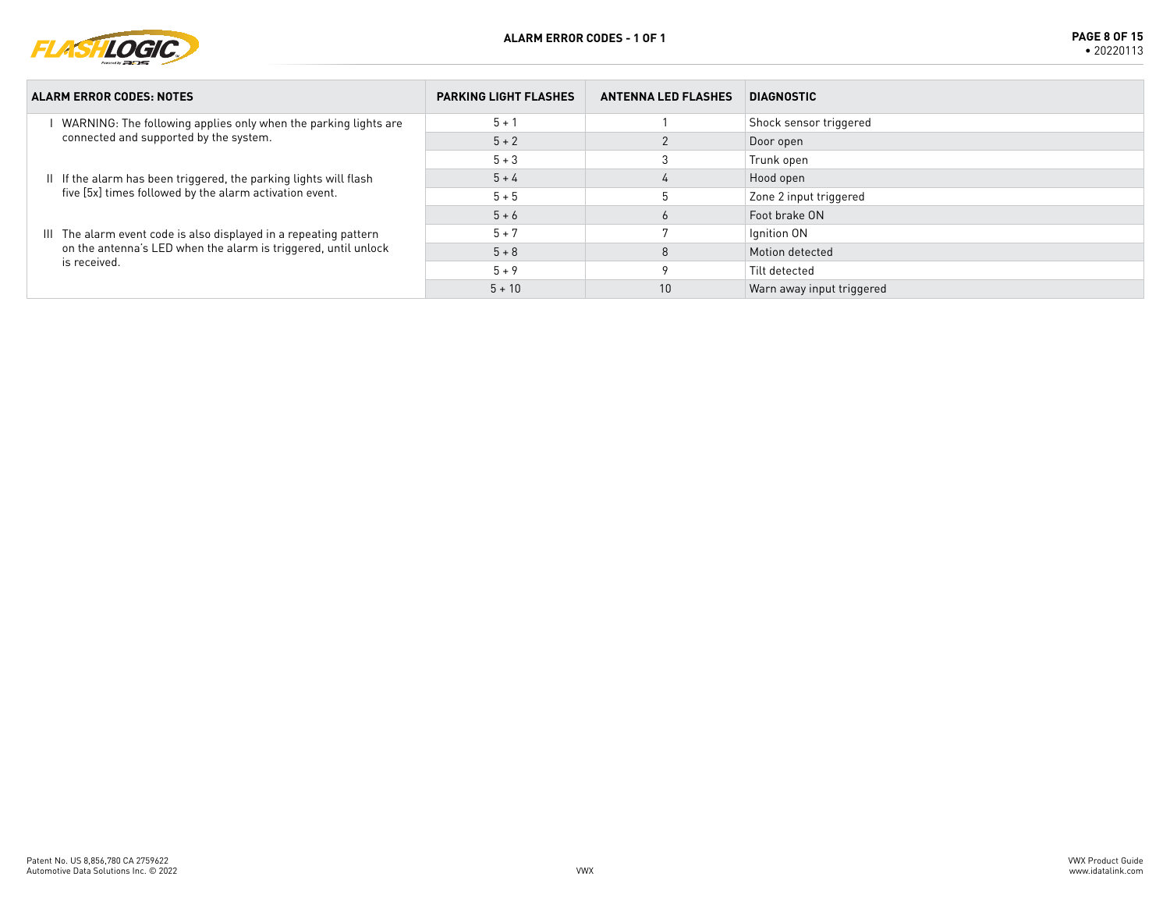

| <b>ALARM ERROR CODES: NOTES</b>                                                                                                                     | <b>PARKING LIGHT FLASHES</b> | <b>ANTENNA LED FLASHES</b> | <b>DIAGNOSTIC</b>         |
|-----------------------------------------------------------------------------------------------------------------------------------------------------|------------------------------|----------------------------|---------------------------|
| WARNING: The following applies only when the parking lights are<br>connected and supported by the system.                                           | $5 + 1$                      |                            | Shock sensor triggered    |
|                                                                                                                                                     | $5 + 2$                      |                            | Door open                 |
|                                                                                                                                                     | $5 + 3$                      |                            | Trunk open                |
| II If the alarm has been triggered, the parking lights will flash                                                                                   | $5 + 4$                      | $\overline{4}$             | Hood open                 |
| five [5x] times followed by the alarm activation event.                                                                                             | $5 + 5$                      |                            | Zone 2 input triggered    |
|                                                                                                                                                     | $5 + 6$                      |                            | Foot brake ON             |
| III The alarm event code is also displayed in a repeating pattern<br>on the antenna's LED when the alarm is triggered, until unlock<br>is received. | $5 + 7$                      |                            | Ignition ON               |
|                                                                                                                                                     | $5 + 8$                      |                            | Motion detected           |
|                                                                                                                                                     | $5 + 9$                      |                            | Tilt detected             |
|                                                                                                                                                     | $5 + 10$                     | 10                         | Warn away input triggered |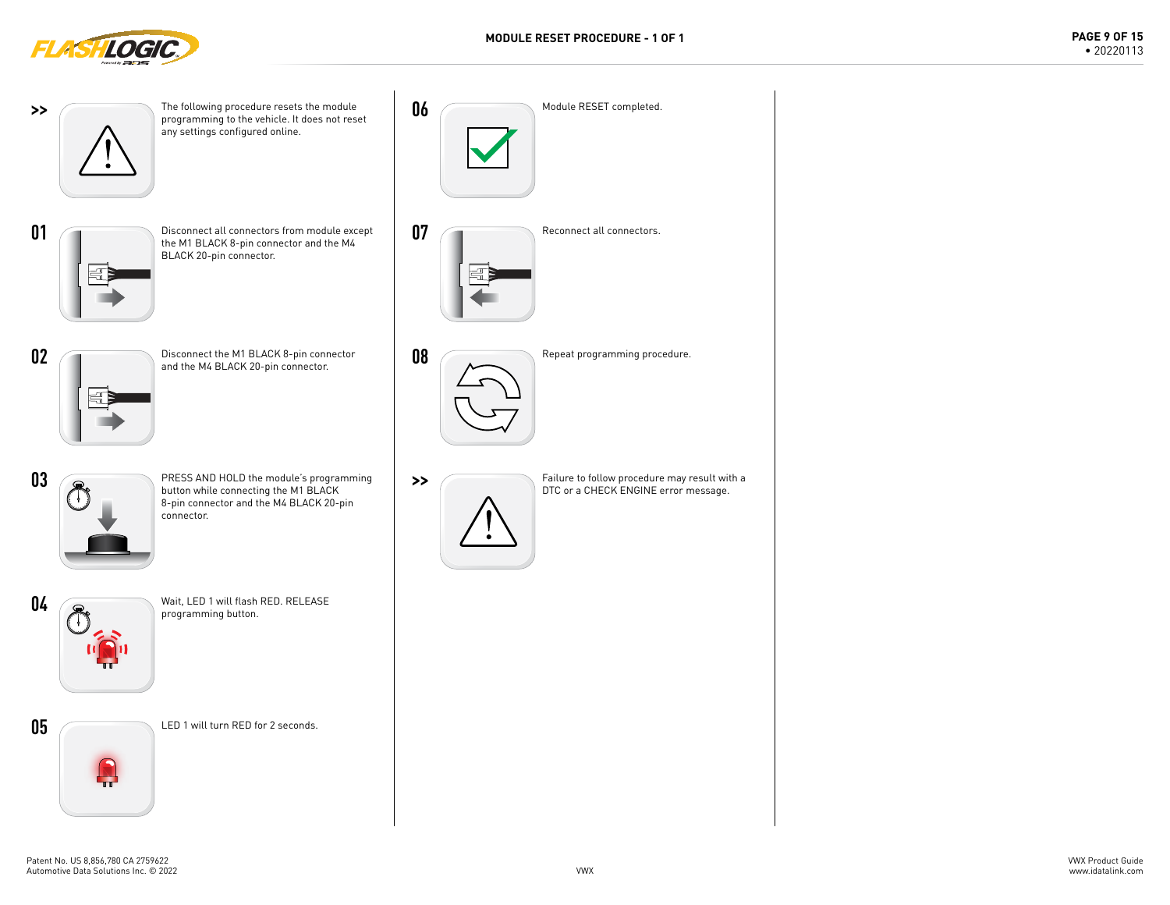

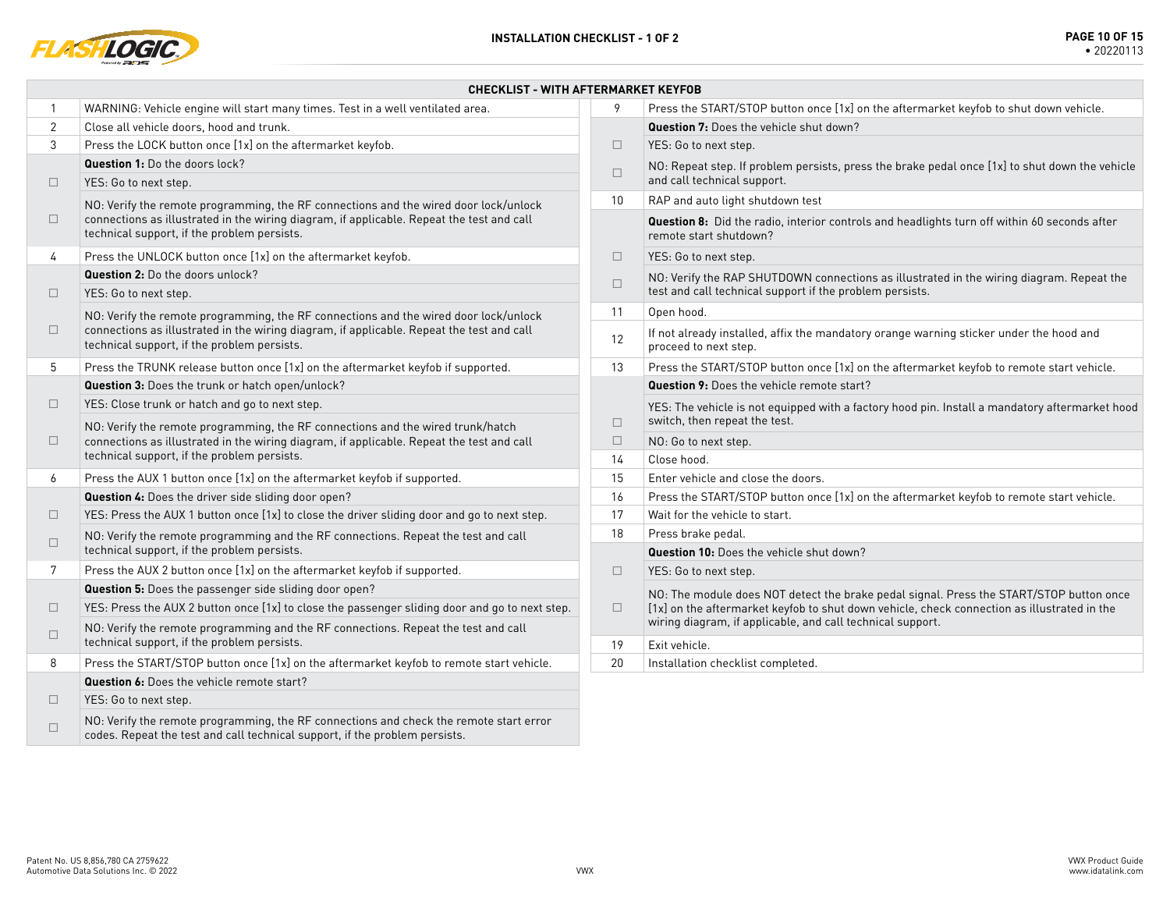

|                | <b>CHECKLIST - WITH AFTERMARKET KEYFOB</b>                                                                                                                                                                                                                                                                                                                                                                                             |        |                                                                                                                                 |  |  |
|----------------|----------------------------------------------------------------------------------------------------------------------------------------------------------------------------------------------------------------------------------------------------------------------------------------------------------------------------------------------------------------------------------------------------------------------------------------|--------|---------------------------------------------------------------------------------------------------------------------------------|--|--|
| 1              | WARNING: Vehicle engine will start many times. Test in a well ventilated area.                                                                                                                                                                                                                                                                                                                                                         | 9      | Press the START/STOP button once [1x] on the aftermarket keyfob to shut down vehicle.                                           |  |  |
| $\overline{2}$ | Close all vehicle doors, hood and trunk.                                                                                                                                                                                                                                                                                                                                                                                               |        | Question 7: Does the vehicle shut down?                                                                                         |  |  |
| 3              | Press the LOCK button once [1x] on the aftermarket keyfob.                                                                                                                                                                                                                                                                                                                                                                             | $\Box$ | YES: Go to next step.                                                                                                           |  |  |
|                | <b>Question 1:</b> Do the doors lock?                                                                                                                                                                                                                                                                                                                                                                                                  | $\Box$ | NO: Repeat step. If problem persists, press the brake pedal once [1x] to shut down the vehicle                                  |  |  |
| $\Box$         | YES: Go to next step.                                                                                                                                                                                                                                                                                                                                                                                                                  | 10     | and call technical support.                                                                                                     |  |  |
|                | NO: Verify the remote programming, the RF connections and the wired door lock/unlock                                                                                                                                                                                                                                                                                                                                                   |        | RAP and auto light shutdown test                                                                                                |  |  |
| $\Box$         | connections as illustrated in the wiring diagram, if applicable. Repeat the test and call<br>technical support, if the problem persists.                                                                                                                                                                                                                                                                                               |        | Question 8: Did the radio, interior controls and headlights turn off within 60 seconds after<br>remote start shutdown?          |  |  |
| 4              | Press the UNLOCK button once [1x] on the aftermarket keyfob.                                                                                                                                                                                                                                                                                                                                                                           | $\Box$ | YES: Go to next step.                                                                                                           |  |  |
|                | Question 2: Do the doors unlock?                                                                                                                                                                                                                                                                                                                                                                                                       | $\Box$ | NO: Verify the RAP SHUTDOWN connections as illustrated in the wiring diagram. Repeat the                                        |  |  |
| $\Box$         | YES: Go to next step.                                                                                                                                                                                                                                                                                                                                                                                                                  |        | test and call technical support if the problem persists.                                                                        |  |  |
|                | NO: Verify the remote programming, the RF connections and the wired door lock/unlock                                                                                                                                                                                                                                                                                                                                                   | 11     | Open hood.                                                                                                                      |  |  |
| $\Box$         | connections as illustrated in the wiring diagram, if applicable. Repeat the test and call<br>technical support, if the problem persists.                                                                                                                                                                                                                                                                                               |        | If not already installed, affix the mandatory orange warning sticker under the hood and<br>proceed to next step.                |  |  |
| 5              | Press the TRUNK release button once [1x] on the aftermarket keyfob if supported.                                                                                                                                                                                                                                                                                                                                                       | 13     | Press the START/STOP button once [1x] on the aftermarket keyfob to remote start vehicle.                                        |  |  |
|                | Question 3: Does the trunk or hatch open/unlock?                                                                                                                                                                                                                                                                                                                                                                                       |        | <b>Question 9:</b> Does the vehicle remote start?                                                                               |  |  |
| $\Box$         | YES: Close trunk or hatch and go to next step.<br>NO: Verify the remote programming, the RF connections and the wired trunk/hatch                                                                                                                                                                                                                                                                                                      | $\Box$ | YES: The vehicle is not equipped with a factory hood pin. Install a mandatory aftermarket hood<br>switch, then repeat the test. |  |  |
| $\Box$         | connections as illustrated in the wiring diagram, if applicable. Repeat the test and call<br>technical support, if the problem persists.                                                                                                                                                                                                                                                                                               | $\Box$ | NO: Go to next step.                                                                                                            |  |  |
|                |                                                                                                                                                                                                                                                                                                                                                                                                                                        | 14     | Close hood.                                                                                                                     |  |  |
| 6              | Press the AUX 1 button once [1x] on the aftermarket keyfob if supported.                                                                                                                                                                                                                                                                                                                                                               | 15     | Enter vehicle and close the doors.                                                                                              |  |  |
|                | Question 4: Does the driver side sliding door open?                                                                                                                                                                                                                                                                                                                                                                                    | 16     | Press the START/STOP button once [1x] on the aftermarket keyfob to remote start vehicle.                                        |  |  |
| $\Box$         | YES: Press the AUX 1 button once [1x] to close the driver sliding door and go to next step.                                                                                                                                                                                                                                                                                                                                            | 17     | Wait for the vehicle to start.                                                                                                  |  |  |
| $\Box$         | NO: Verify the remote programming and the RF connections. Repeat the test and call                                                                                                                                                                                                                                                                                                                                                     | 18     | Press brake pedal.                                                                                                              |  |  |
|                | technical support, if the problem persists.                                                                                                                                                                                                                                                                                                                                                                                            |        | Question 10: Does the vehicle shut down?                                                                                        |  |  |
| 7              | Press the AUX 2 button once [1x] on the aftermarket keyfob if supported.                                                                                                                                                                                                                                                                                                                                                               | $\Box$ | YES: Go to next step.                                                                                                           |  |  |
|                | Question 5: Does the passenger side sliding door open?                                                                                                                                                                                                                                                                                                                                                                                 |        | NO: The module does NOT detect the brake pedal signal. Press the START/STOP button once                                         |  |  |
| $\Box$         | YES: Press the AUX 2 button once [1x] to close the passenger sliding door and go to next step.                                                                                                                                                                                                                                                                                                                                         | $\Box$ | [1x] on the aftermarket keyfob to shut down vehicle, check connection as illustrated in the                                     |  |  |
| $\Box$         | NO: Verify the remote programming and the RF connections. Repeat the test and call<br>technical support, if the problem persists.                                                                                                                                                                                                                                                                                                      | 19     | wiring diagram, if applicable, and call technical support.<br>Exit vehicle.                                                     |  |  |
| 8              | Press the START/STOP button once [1x] on the aftermarket keyfob to remote start vehicle.                                                                                                                                                                                                                                                                                                                                               | 20     | Installation checklist completed.                                                                                               |  |  |
|                | <b>Question 6:</b> Does the vehicle remote start?                                                                                                                                                                                                                                                                                                                                                                                      |        |                                                                                                                                 |  |  |
| $\Box$         | YES: Go to next step.                                                                                                                                                                                                                                                                                                                                                                                                                  |        |                                                                                                                                 |  |  |
|                | the contract of the contract of the contract of the contract of the contract of the contract of the contract of<br>$\frac{1}{2}$ $\frac{1}{2}$ $\frac{1}{2}$ $\frac{1}{2}$ $\frac{1}{2}$ $\frac{1}{2}$ $\frac{1}{2}$ $\frac{1}{2}$ $\frac{1}{2}$ $\frac{1}{2}$ $\frac{1}{2}$ $\frac{1}{2}$ $\frac{1}{2}$ $\frac{1}{2}$ $\frac{1}{2}$ $\frac{1}{2}$ $\frac{1}{2}$ $\frac{1}{2}$ $\frac{1}{2}$ $\frac{1}{2}$ $\frac{1}{2}$ $\frac{1}{2}$ |        |                                                                                                                                 |  |  |

 $\Box$  NO: Verify the remote programming, the RF connections and check the remote start error codes. Repeat the test and call technical support, if the problem persists.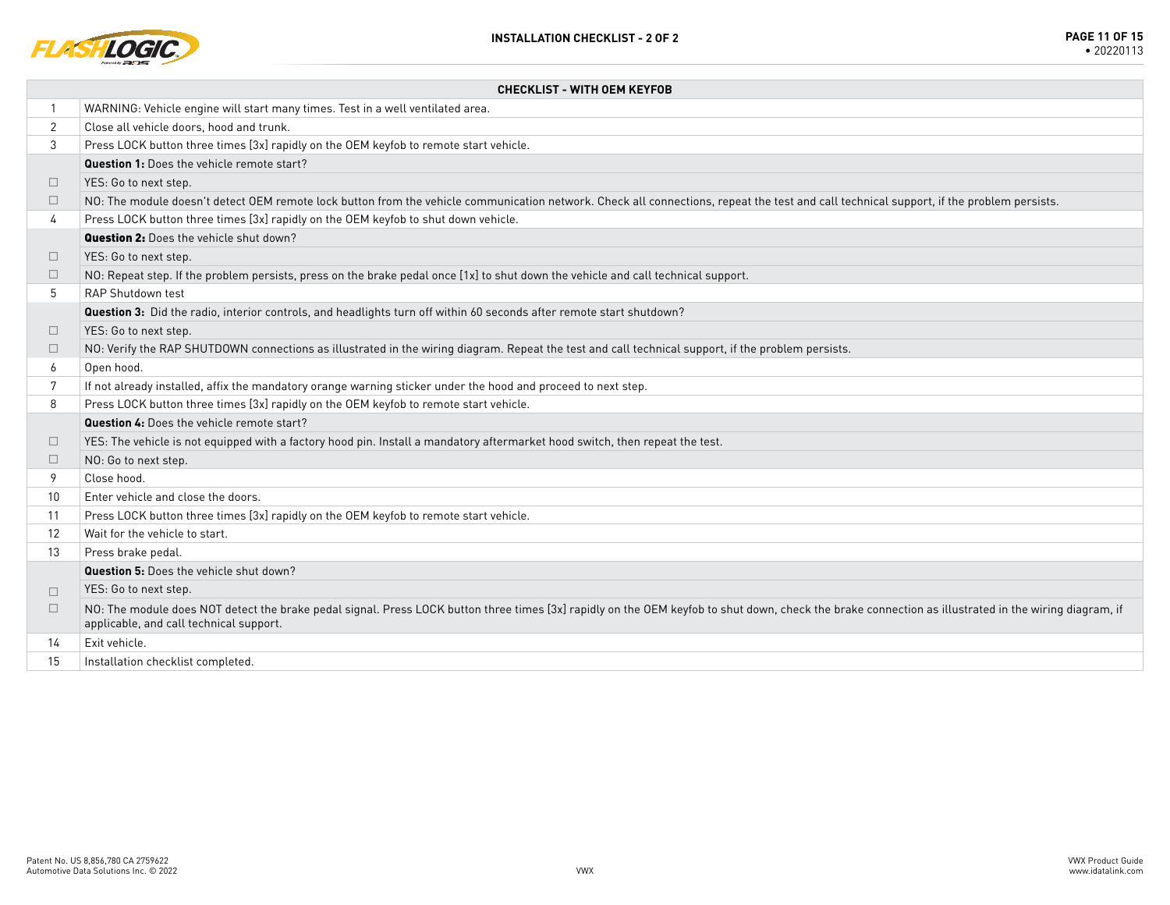

|              | <b>CHECKLIST - WITH OEM KEYFOB</b>                                                                                                                                                                                                               |  |  |  |  |
|--------------|--------------------------------------------------------------------------------------------------------------------------------------------------------------------------------------------------------------------------------------------------|--|--|--|--|
| $\mathbf{1}$ | WARNING: Vehicle engine will start many times. Test in a well ventilated area.                                                                                                                                                                   |  |  |  |  |
| 2            | Close all vehicle doors, hood and trunk.                                                                                                                                                                                                         |  |  |  |  |
| 3            | Press LOCK button three times [3x] rapidly on the OEM keyfob to remote start vehicle.                                                                                                                                                            |  |  |  |  |
|              | <b>Question 1:</b> Does the vehicle remote start?                                                                                                                                                                                                |  |  |  |  |
| $\Box$       | YES: Go to next step.                                                                                                                                                                                                                            |  |  |  |  |
| $\Box$       | NO: The module doesn't detect OEM remote lock button from the vehicle communication network. Check all connections, repeat the test and call technical support, if the problem persists.                                                         |  |  |  |  |
| 4            | Press LOCK button three times [3x] rapidly on the OEM keyfob to shut down vehicle.                                                                                                                                                               |  |  |  |  |
|              | <b>Question 2:</b> Does the vehicle shut down?                                                                                                                                                                                                   |  |  |  |  |
| $\Box$       | YES: Go to next step.                                                                                                                                                                                                                            |  |  |  |  |
| □            | NO: Repeat step. If the problem persists, press on the brake pedal once [1x] to shut down the vehicle and call technical support.                                                                                                                |  |  |  |  |
| 5            | RAP Shutdown test                                                                                                                                                                                                                                |  |  |  |  |
|              | Question 3: Did the radio, interior controls, and headlights turn off within 60 seconds after remote start shutdown?                                                                                                                             |  |  |  |  |
| □            | YES: Go to next step.                                                                                                                                                                                                                            |  |  |  |  |
| $\Box$       | NO: Verify the RAP SHUTDOWN connections as illustrated in the wiring diagram. Repeat the test and call technical support, if the problem persists.                                                                                               |  |  |  |  |
| 6            | Open hood.                                                                                                                                                                                                                                       |  |  |  |  |
| 7            | If not already installed, affix the mandatory orange warning sticker under the hood and proceed to next step.                                                                                                                                    |  |  |  |  |
| 8            | Press LOCK button three times [3x] rapidly on the OEM keyfob to remote start vehicle.                                                                                                                                                            |  |  |  |  |
|              | <b>Question 4:</b> Does the vehicle remote start?                                                                                                                                                                                                |  |  |  |  |
| $\Box$       | YES: The vehicle is not equipped with a factory hood pin. Install a mandatory aftermarket hood switch, then repeat the test.                                                                                                                     |  |  |  |  |
| $\Box$       | NO: Go to next step.                                                                                                                                                                                                                             |  |  |  |  |
| 9            | Close hood.                                                                                                                                                                                                                                      |  |  |  |  |
| 10           | Enter vehicle and close the doors.                                                                                                                                                                                                               |  |  |  |  |
| 11           | Press LOCK button three times [3x] rapidly on the OEM keyfob to remote start vehicle.                                                                                                                                                            |  |  |  |  |
| 12           | Wait for the vehicle to start.                                                                                                                                                                                                                   |  |  |  |  |
| 13           | Press brake pedal.                                                                                                                                                                                                                               |  |  |  |  |
|              | <b>Question 5:</b> Does the vehicle shut down?                                                                                                                                                                                                   |  |  |  |  |
| $\Box$       | YES: Go to next step.                                                                                                                                                                                                                            |  |  |  |  |
| $\Box$       | NO: The module does NOT detect the brake pedal signal. Press LOCK button three times [3x] rapidly on the OEM keyfob to shut down, check the brake connection as illustrated in the wiring diagram, if<br>applicable, and call technical support. |  |  |  |  |
| 14           | Exit vehicle.                                                                                                                                                                                                                                    |  |  |  |  |
| 15           | Installation checklist completed.                                                                                                                                                                                                                |  |  |  |  |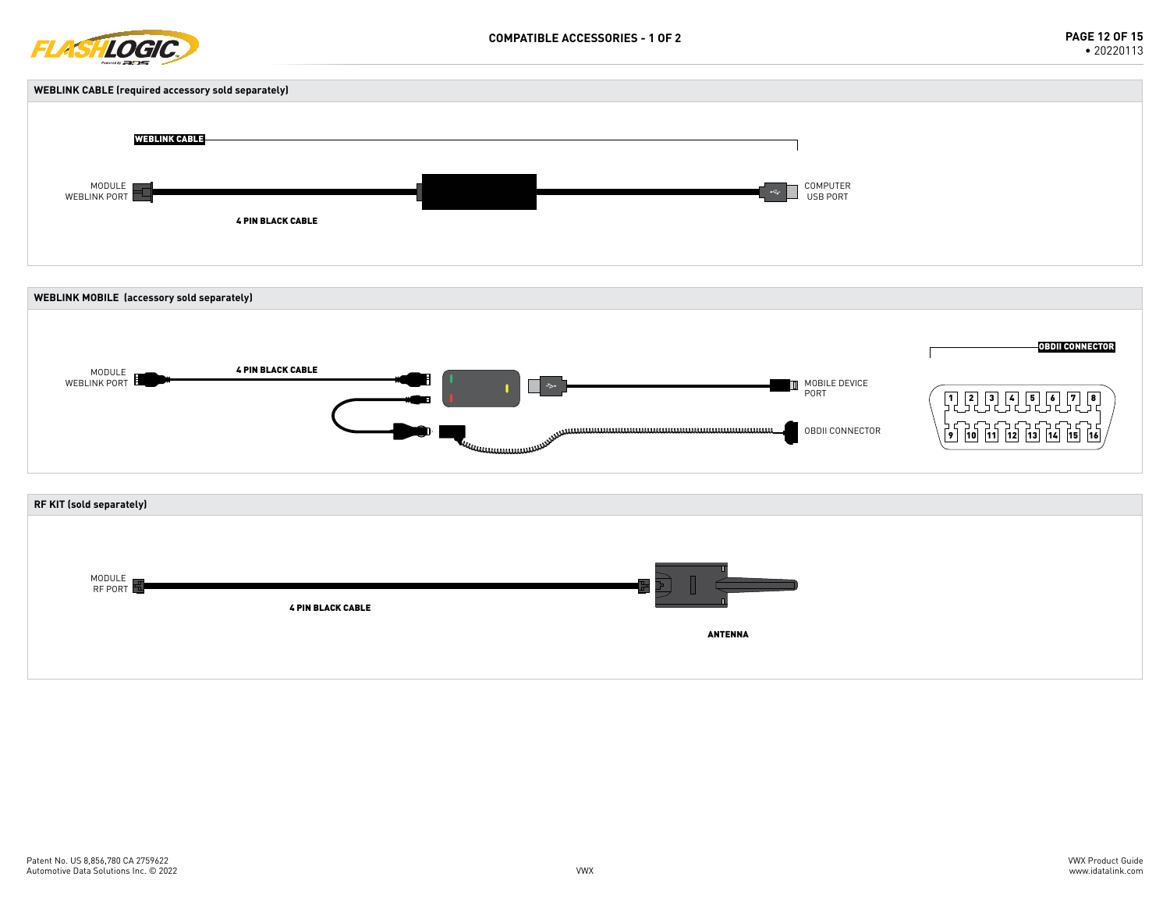





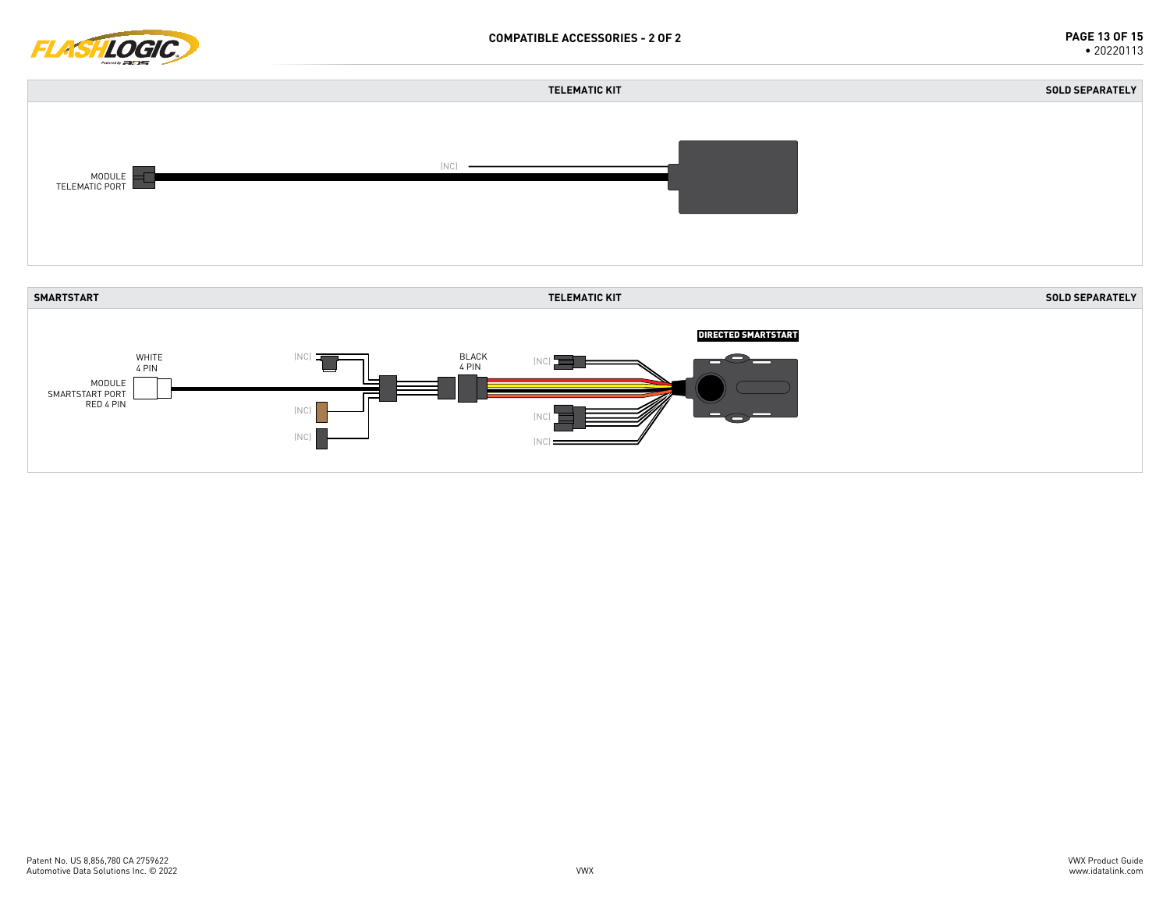



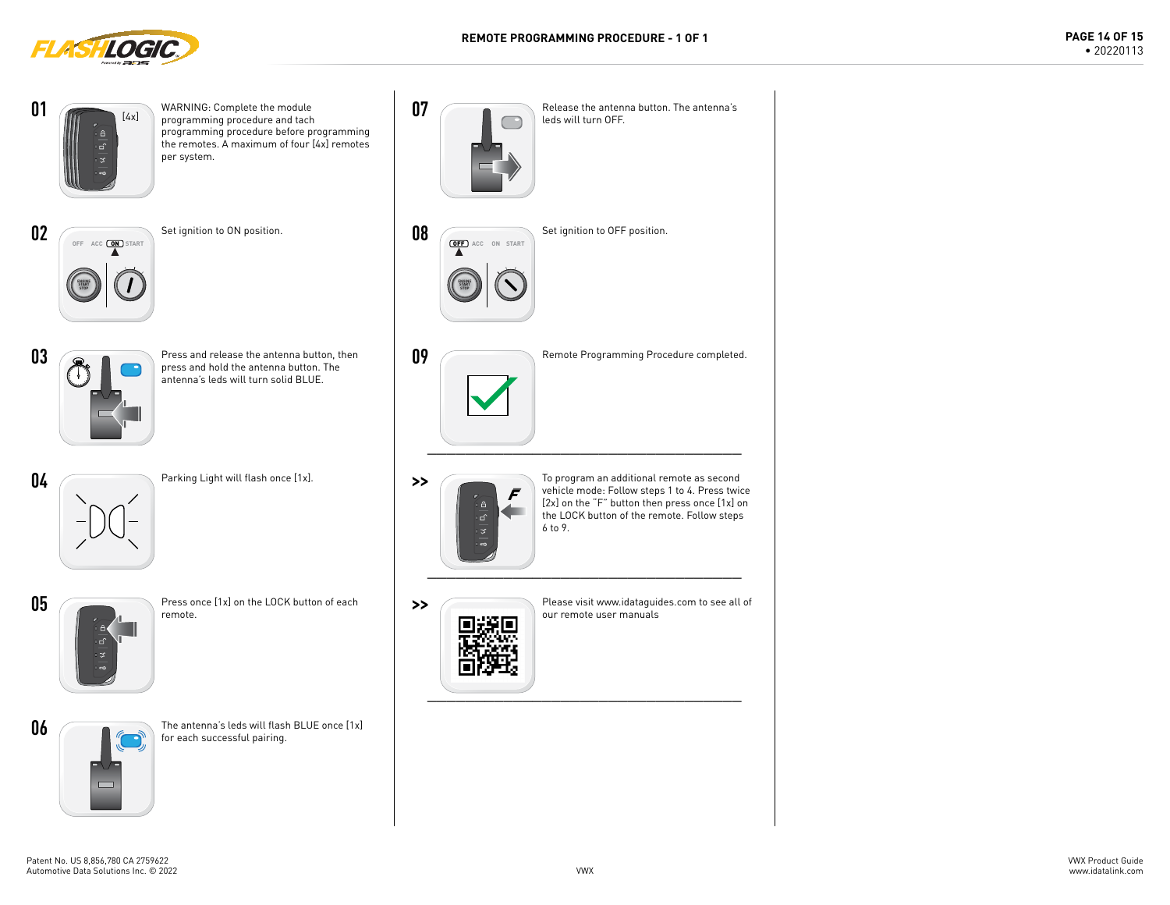